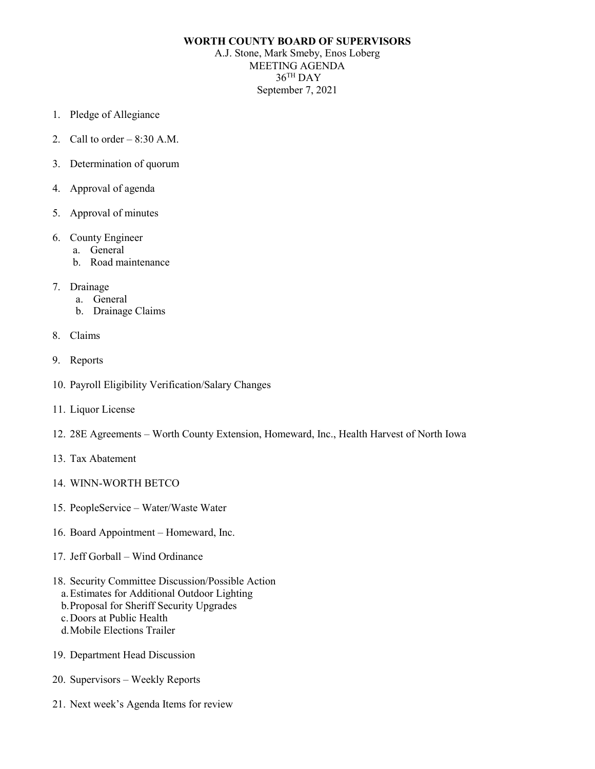## **WORTH COUNTY BOARD OF SUPERVISORS**

A.J. Stone, Mark Smeby, Enos Loberg MEETING AGENDA  $36<sup>TH</sup>$  DAY September 7, 2021

- 1. Pledge of Allegiance
- 2. Call to order  $-8:30$  A.M.
- 3. Determination of quorum
- 4. Approval of agenda
- 5. Approval of minutes
- 6. County Engineer
	- a. General
	- b. Road maintenance
- 7. Drainage
	- a. General
	- b. Drainage Claims
- 8. Claims
- 9. Reports
- 10. Payroll Eligibility Verification/Salary Changes
- 11. Liquor License
- 12. 28E Agreements Worth County Extension, Homeward, Inc., Health Harvest of North Iowa
- 13. Tax Abatement
- 14. WINN-WORTH BETCO
- 15. PeopleService Water/Waste Water
- 16. Board Appointment Homeward, Inc.
- 17. Jeff Gorball Wind Ordinance
- 18. Security Committee Discussion/Possible Action
	- a.Estimates for Additional Outdoor Lighting
	- b.Proposal for Sheriff Security Upgrades
	- c.Doors at Public Health
	- d.Mobile Elections Trailer
- 19. Department Head Discussion
- 20. Supervisors Weekly Reports
- 21. Next week's Agenda Items for review